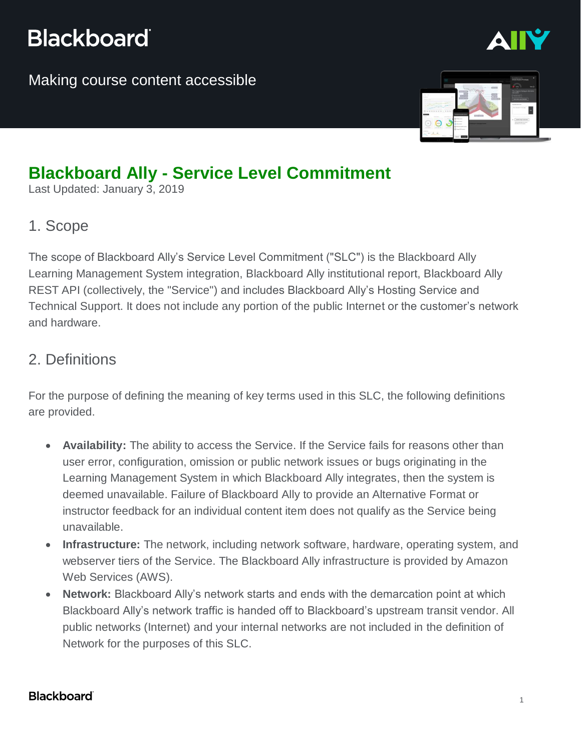## **Blackboard**

Making course content accessible



## **Blackboard Ally - Service Level Commitment**

Last Updated: January 3, 2019

#### 1. Scope

The scope of Blackboard Ally's Service Level Commitment ("SLC") is the Blackboard Ally Learning Management System integration, Blackboard Ally institutional report, Blackboard Ally REST API (collectively, the "Service") and includes Blackboard Ally's Hosting Service and Technical Support. It does not include any portion of the public Internet or the customer's network and hardware.

#### 2. Definitions

For the purpose of defining the meaning of key terms used in this SLC, the following definitions are provided.

- **Availability:** The ability to access the Service. If the Service fails for reasons other than user error, configuration, omission or public network issues or bugs originating in the Learning Management System in which Blackboard Ally integrates, then the system is deemed unavailable. Failure of Blackboard Ally to provide an Alternative Format or instructor feedback for an individual content item does not qualify as the Service being unavailable.
- **Infrastructure:** The network, including network software, hardware, operating system, and webserver tiers of the Service. The Blackboard Ally infrastructure is provided by Amazon Web Services (AWS).
- **Network:** Blackboard Ally's network starts and ends with the demarcation point at which Blackboard Ally's network traffic is handed off to Blackboard's upstream transit vendor. All public networks (Internet) and your internal networks are not included in the definition of Network for the purposes of this SLC.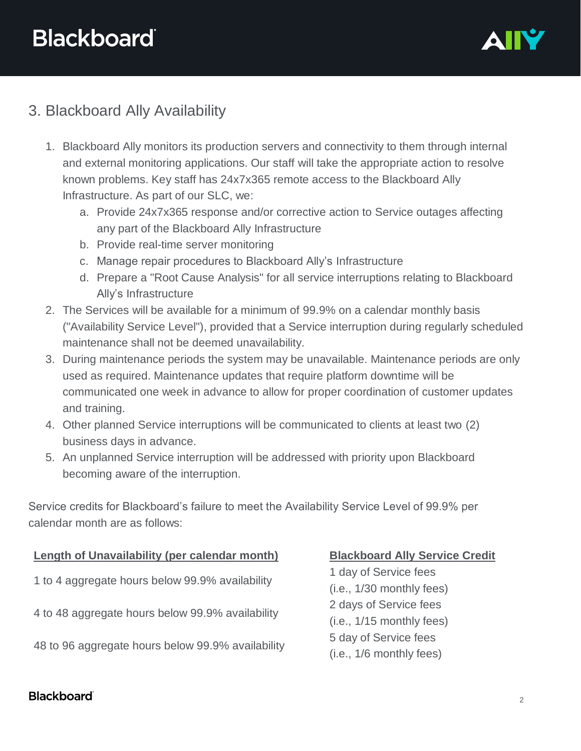

### 3. Blackboard Ally Availability

- 1. Blackboard Ally monitors its production servers and connectivity to them through internal and external monitoring applications. Our staff will take the appropriate action to resolve known problems. Key staff has 24x7x365 remote access to the Blackboard Ally Infrastructure. As part of our SLC, we:
	- a. Provide 24x7x365 response and/or corrective action to Service outages affecting any part of the Blackboard Ally Infrastructure
	- b. Provide real-time server monitoring
	- c. Manage repair procedures to Blackboard Ally's Infrastructure
	- d. Prepare a "Root Cause Analysis" for all service interruptions relating to Blackboard Ally's Infrastructure
- 2. The Services will be available for a minimum of 99.9% on a calendar monthly basis ("Availability Service Level"), provided that a Service interruption during regularly scheduled maintenance shall not be deemed unavailability.
- 3. During maintenance periods the system may be unavailable. Maintenance periods are only used as required. Maintenance updates that require platform downtime will be communicated one week in advance to allow for proper coordination of customer updates and training.
- 4. Other planned Service interruptions will be communicated to clients at least two (2) business days in advance.
- 5. An unplanned Service interruption will be addressed with priority upon Blackboard becoming aware of the interruption.

Service credits for Blackboard's failure to meet the Availability Service Level of 99.9% per calendar month are as follows:

# **Length of Unavailability (per calendar month) Blackboard Ally Service Credit** 1 to 4 aggregate hours below 99.9% availability 4 to 48 aggregate hours below 99.9% availability

48 to 96 aggregate hours below 99.9% availability

1 day of Service fees (i.e., 1/30 monthly fees) 2 days of Service fees (i.e., 1/15 monthly fees) 5 day of Service fees (i.e., 1/6 monthly fees)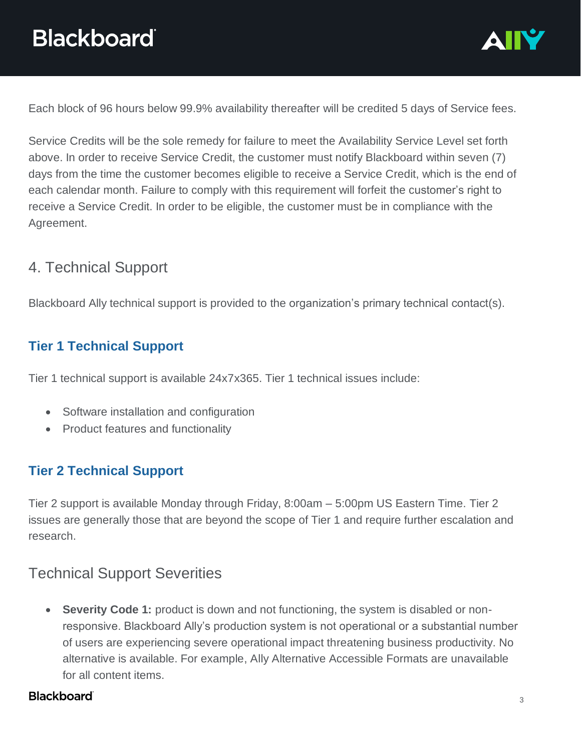

Each block of 96 hours below 99.9% availability thereafter will be credited 5 days of Service fees.

Service Credits will be the sole remedy for failure to meet the Availability Service Level set forth above. In order to receive Service Credit, the customer must notify Blackboard within seven (7) days from the time the customer becomes eligible to receive a Service Credit, which is the end of each calendar month. Failure to comply with this requirement will forfeit the customer's right to receive a Service Credit. In order to be eligible, the customer must be in compliance with the Agreement.

#### 4. Technical Support

Blackboard Ally technical support is provided to the organization's primary technical contact(s).

#### **Tier 1 Technical Support**

Tier 1 technical support is available 24x7x365. Tier 1 technical issues include:

- Software installation and configuration
- Product features and functionality

#### **Tier 2 Technical Support**

Tier 2 support is available Monday through Friday, 8:00am – 5:00pm US Eastern Time. Tier 2 issues are generally those that are beyond the scope of Tier 1 and require further escalation and research.

#### Technical Support Severities

• **Severity Code 1:** product is down and not functioning, the system is disabled or nonresponsive. Blackboard Ally's production system is not operational or a substantial number of users are experiencing severe operational impact threatening business productivity. No alternative is available. For example, Ally Alternative Accessible Formats are unavailable for all content items.

#### **Blackboard**